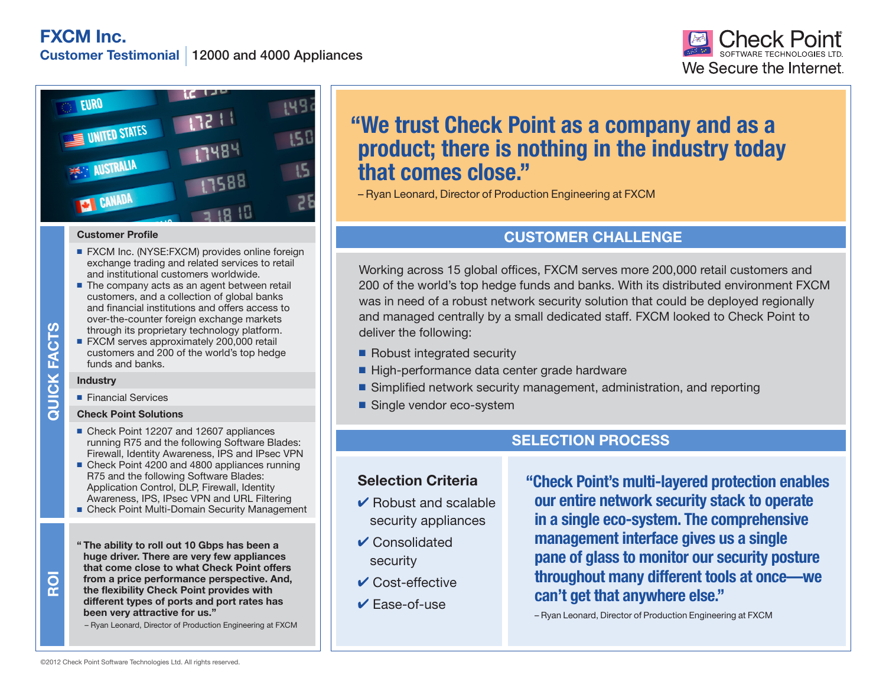**FXCM Inc.**

**Customer Testimonial** 12000 and 4000 Appliances





#### **Customer Profile**

- FXCM Inc. (NYSE:FXCM) provides online foreign exchange trading and related services to retail and institutional customers worldwide.
- $\blacksquare$  The company acts as an agent between retail customers, and a collection of global banks and financial institutions and offers access to over-the-counter foreign exchange markets through its proprietary technology platform.
- $\blacksquare$  FXCM serves approximately 200,000 retail customers and 200 of the world's top hedge funds and banks.

### **Industry**

**ROI**

**Financial Services** 

## **Check Point Solutions**

- Check Point 12207 and 12607 appliances running R75 and the following Software Blades: Firewall, Identity Awareness, IPS and IPsec VPN
- Check Point 4200 and 4800 appliances running R75 and the following Software Blades: Application Control, DLP, Firewall, Identity Awareness, IPS, IPsec VPN and URL Filtering
- Check Point Multi-Domain Security Management
- Through its proprietary technology<br>
 FXCM serves approximately 200,C<br>
customers and 200 of the world's<br> **Industry**<br>
 Financial Services<br>
Check Point 12207 and 12607 approximing R75 and the following Software Increases, **" The ability to roll out 10 Gbps has been a huge driver. There are very few appliances that come close to what Check Point offers from a price performance perspective. And, the flexibility Check Point provides with different types of ports and port rates has been very attractive for us."**

– Ryan Leonard, Director of Production Engineering at FXCM

# **"We trust Check Point as a company and as a product; there is nothing in the industry today that comes close."**

– Ryan Leonard, Director of Production Engineering at FXCM

# **CUSTOMER CHALLENGE**

Working across 15 global offices, FXCM serves more 200,000 retail customers and 200 of the world's top hedge funds and banks. With its distributed environment FXCM was in need of a robust network security solution that could be deployed regionally and managed centrally by a small dedicated staff. FXCM looked to Check Point to deliver the following:

- Robust integrated security
- High-performance data center grade hardware
- Simplified network security management, administration, and reporting
- Single vendor eco-system

# **SELECTION PROCESS**

# **Selection Criteria**

- $\vee$  Robust and scalable security appliances
- $\vee$  Consolidated security
- $\vee$  Cost-effective
- 4 Ease-of-use

**"Check Point's multi-layered protection enables our entire network security stack to operate in a single eco-system. The comprehensive management interface gives us a single pane of glass to monitor our security posture throughout many different tools at once—we can't get that anywhere else."**

– Ryan Leonard, Director of Production Engineering at FXCM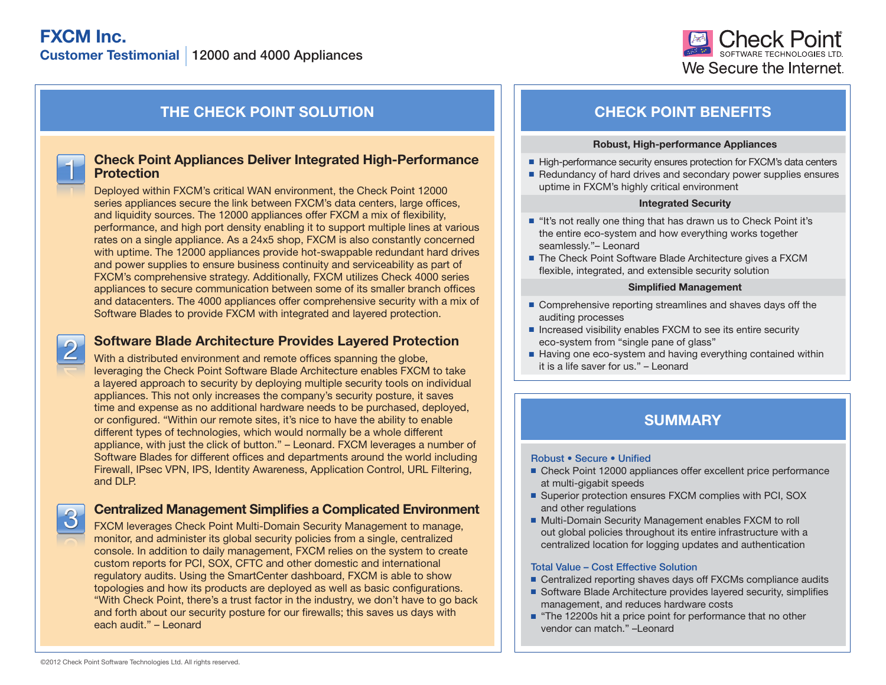

# **THE CHECK POINT SOLUTION CHECK POINT BENEFITS**

# **Check Point Appliances Deliver Integrated High-Performance Protection**

Deployed within FXCM's critical WAN environment, the Check Point 12000 series appliances secure the link between FXCM's data centers, large offices, and liquidity sources. The 12000 appliances offer FXCM a mix of flexibility, performance, and high port density enabling it to support multiple lines at various rates on a single appliance. As a 24x5 shop, FXCM is also constantly concerned with uptime. The 12000 appliances provide hot-swappable redundant hard drives and power supplies to ensure business continuity and serviceability as part of FXCM's comprehensive strategy. Additionally, FXCM utilizes Check 4000 series appliances to secure communication between some of its smaller branch offices and datacenters. The 4000 appliances offer comprehensive security with a mix of Software Blades to provide FXCM with integrated and layered protection.

# **Software Blade Architecture Provides Layered Protection**

With a distributed environment and remote offices spanning the globe, leveraging the Check Point Software Blade Architecture enables FXCM to take a layered approach to security by deploying multiple security tools on individual appliances. This not only increases the company's security posture, it saves time and expense as no additional hardware needs to be purchased, deployed, or configured. "Within our remote sites, it's nice to have the ability to enable different types of technologies, which would normally be a whole different appliance, with just the click of button." – Leonard. FXCM leverages a number of Software Blades for different offices and departments around the world including Firewall, IPsec VPN, IPS, Identity Awareness, Application Control, URL Filtering, and DLP.

# **Centralized Management Simplifies a Complicated Environment**

FXCM leverages Check Point Multi-Domain Security Management to manage, monitor, and administer its global security policies from a single, centralized console. In addition to daily management, FXCM relies on the system to create custom reports for PCI, SOX, CFTC and other domestic and international regulatory audits. Using the SmartCenter dashboard, FXCM is able to show topologies and how its products are deployed as well as basic configurations. "With Check Point, there's a trust factor in the industry, we don't have to go back and forth about our security posture for our firewalls; this saves us days with each audit." – Leonard

#### **Robust, High-performance Appliances**

- High-performance security ensures protection for FXCM's data centers
- Redundancy of hard drives and secondary power supplies ensures uptime in FXCM's highly critical environment

#### **Integrated Security**

- "It's not really one thing that has drawn us to Check Point it's the entire eco-system and how everything works together seamlessly."– Leonard
- The Check Point Software Blade Architecture gives a FXCM flexible, integrated, and extensible security solution

#### **Simplified Management**

- $\blacksquare$  Comprehensive reporting streamlines and shaves days off the auditing processes
- Increased visibility enables FXCM to see its entire security eco-system from "single pane of glass"
- $\blacksquare$  Having one eco-system and having everything contained within it is a life saver for us." – Leonard

# **SUMMARY**

### Robust • Secure • Unified

- Check Point 12000 appliances offer excellent price performance at multi-gigabit speeds
- Superior protection ensures FXCM complies with PCI, SOX and other regulations
- Multi-Domain Security Management enables FXCM to roll out global policies throughout its entire infrastructure with a centralized location for logging updates and authentication

## Total Value – Cost Effective Solution

- Centralized reporting shaves days off FXCMs compliance audits
- Software Blade Architecture provides layered security, simplifies management, and reduces hardware costs
- $\blacksquare$  "The 12200s hit a price point for performance that no other vendor can match." –Leonard

 $\vert 2 \vert$ 

 $\overline{3}$